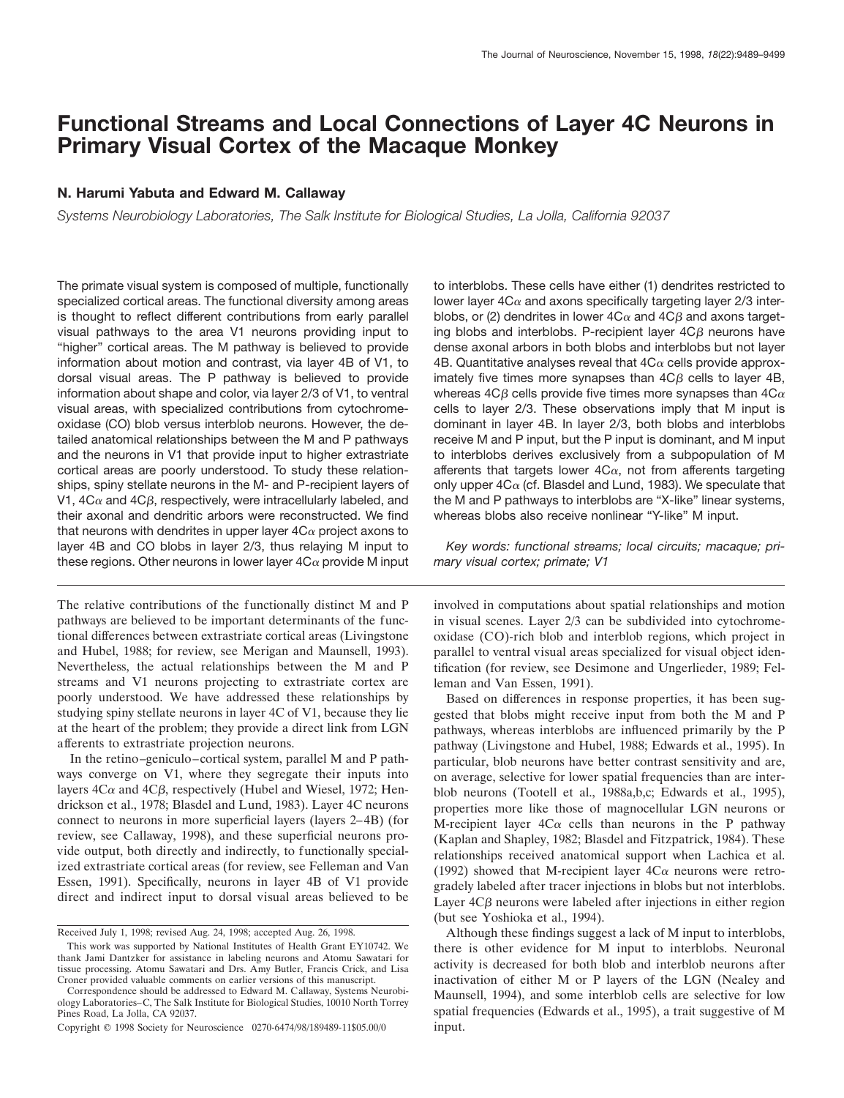# **Functional Streams and Local Connections of Layer 4C Neurons in Primary Visual Cortex of the Macaque Monkey**

# **N. Harumi Yabuta and Edward M. Callaway**

*Systems Neurobiology Laboratories, The Salk Institute for Biological Studies, La Jolla, California 92037*

The primate visual system is composed of multiple, functionally specialized cortical areas. The functional diversity among areas is thought to reflect different contributions from early parallel visual pathways to the area V1 neurons providing input to "higher" cortical areas. The M pathway is believed to provide information about motion and contrast, via layer 4B of V1, to dorsal visual areas. The P pathway is believed to provide information about shape and color, via layer 2/3 of V1, to ventral visual areas, with specialized contributions from cytochromeoxidase (CO) blob versus interblob neurons. However, the detailed anatomical relationships between the M and P pathways and the neurons in V1 that provide input to higher extrastriate cortical areas are poorly understood. To study these relationships, spiny stellate neurons in the M- and P-recipient layers of V1,  $4C\alpha$  and  $4C\beta$ , respectively, were intracellularly labeled, and their axonal and dendritic arbors were reconstructed. We find that neurons with dendrites in upper layer  $4C\alpha$  project axons to layer 4B and CO blobs in layer 2/3, thus relaying M input to these regions. Other neurons in lower layer  $4C\alpha$  provide M input

The relative contributions of the functionally distinct M and P pathways are believed to be important determinants of the functional differences between extrastriate cortical areas (Livingstone and Hubel, 1988; for review, see Merigan and Maunsell, 1993). Nevertheless, the actual relationships between the M and P streams and V1 neurons projecting to extrastriate cortex are poorly understood. We have addressed these relationships by studying spiny stellate neurons in layer 4C of V1, because they lie at the heart of the problem; they provide a direct link from LGN afferents to extrastriate projection neurons.

In the retino–geniculo–cortical system, parallel M and P pathways converge on V1, where they segregate their inputs into layers  $4C\alpha$  and  $4C\beta$ , respectively (Hubel and Wiesel, 1972; Hendrickson et al., 1978; Blasdel and Lund, 1983). Layer 4C neurons connect to neurons in more superficial layers (layers 2–4B) (for review, see Callaway, 1998), and these superficial neurons provide output, both directly and indirectly, to functionally specialized extrastriate cortical areas (for review, see Felleman and Van Essen, 1991). Specifically, neurons in layer 4B of V1 provide direct and indirect input to dorsal visual areas believed to be

to interblobs. These cells have either (1) dendrites restricted to lower layer  $4C\alpha$  and axons specifically targeting layer 2/3 interblobs, or (2) dendrites in lower  $4C\alpha$  and  $4C\beta$  and axons targeting blobs and interblobs. P-recipient layer  $4C\beta$  neurons have dense axonal arbors in both blobs and interblobs but not layer 4B. Quantitative analyses reveal that  $4C\alpha$  cells provide approximately five times more synapses than  $4C\beta$  cells to layer  $4B$ , whereas  $4C\beta$  cells provide five times more synapses than  $4C\alpha$ cells to layer 2/3. These observations imply that M input is dominant in layer 4B. In layer 2/3, both blobs and interblobs receive M and P input, but the P input is dominant, and M input to interblobs derives exclusively from a subpopulation of M afferents that targets lower  $4C\alpha$ , not from afferents targeting only upper  $4C\alpha$  (cf. Blasdel and Lund, 1983). We speculate that the M and P pathways to interblobs are "X-like" linear systems, whereas blobs also receive nonlinear "Y-like" M input.

*Key words: functional streams; local circuits; macaque; primary visual cortex; primate; V1*

involved in computations about spatial relationships and motion in visual scenes. Layer 2/3 can be subdivided into cytochromeoxidase (CO)-rich blob and interblob regions, which project in parallel to ventral visual areas specialized for visual object identification (for review, see Desimone and Ungerlieder, 1989; Felleman and Van Essen, 1991).

Based on differences in response properties, it has been suggested that blobs might receive input from both the M and P pathways, whereas interblobs are influenced primarily by the P pathway (Livingstone and Hubel, 1988; Edwards et al., 1995). In particular, blob neurons have better contrast sensitivity and are, on average, selective for lower spatial frequencies than are interblob neurons (Tootell et al., 1988a,b,c; Edwards et al., 1995), properties more like those of magnocellular LGN neurons or M-recipient layer  $4C\alpha$  cells than neurons in the P pathway (Kaplan and Shapley, 1982; Blasdel and Fitzpatrick, 1984). These relationships received anatomical support when Lachica et al. (1992) showed that M-recipient layer  $4C\alpha$  neurons were retrogradely labeled after tracer injections in blobs but not interblobs. Layer  $4C\beta$  neurons were labeled after injections in either region (but see Yoshioka et al., 1994).

Although these findings suggest a lack of M input to interblobs, there is other evidence for M input to interblobs. Neuronal activity is decreased for both blob and interblob neurons after inactivation of either M or P layers of the LGN (Nealey and Maunsell, 1994), and some interblob cells are selective for low spatial frequencies (Edwards et al., 1995), a trait suggestive of M input.

Received July 1, 1998; revised Aug. 24, 1998; accepted Aug. 26, 1998.

This work was supported by National Institutes of Health Grant EY10742. We thank Jami Dantzker for assistance in labeling neurons and Atomu Sawatari for tissue processing. Atomu Sawatari and Drs. Amy Butler, Francis Crick, and Lisa Croner provided valuable comments on earlier versions of this manuscript.

Correspondence should be addressed to Edward M. Callaway, Systems Neurobiology Laboratories–C, The Salk Institute for Biological Studies, 10010 North Torrey Pines Road, La Jolla, CA 92037.

Copyright © 1998 Society for Neuroscience 0270-6474/98/189489-11\$05.00/0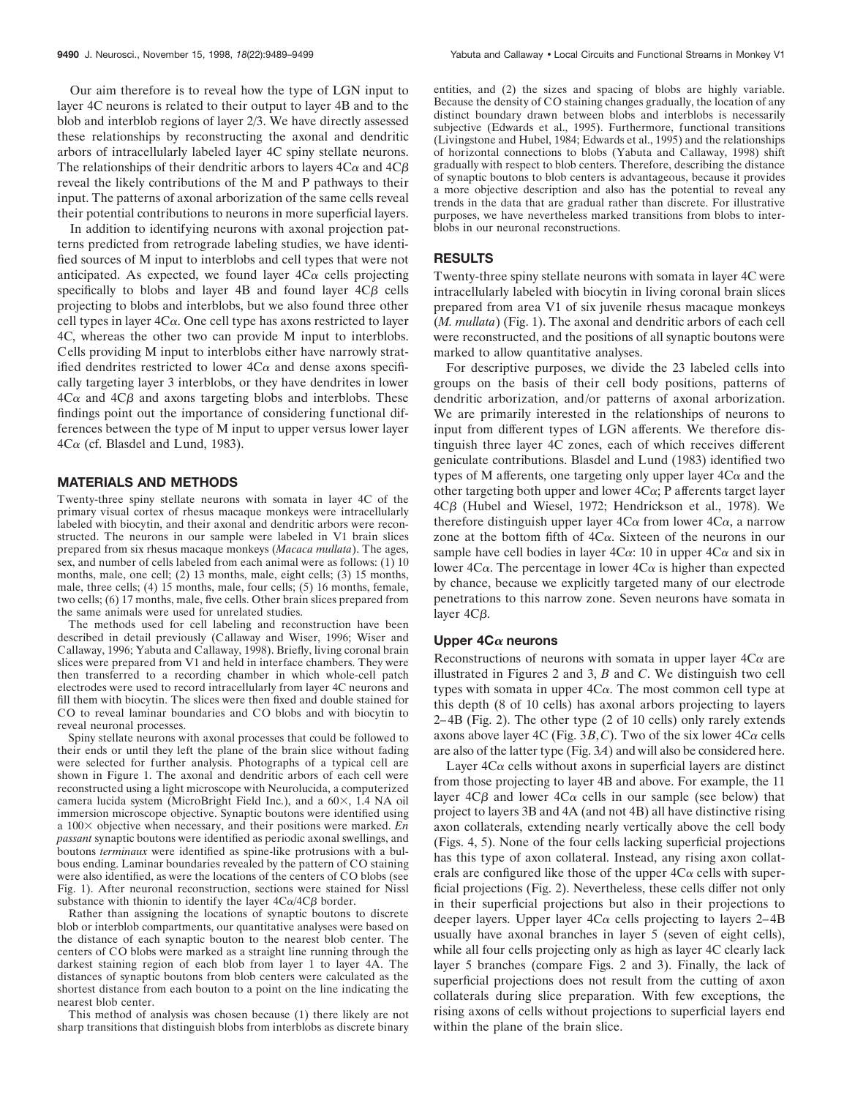Our aim therefore is to reveal how the type of LGN input to layer 4C neurons is related to their output to layer 4B and to the blob and interblob regions of layer 2/3. We have directly assessed these relationships by reconstructing the axonal and dendritic arbors of intracellularly labeled layer 4C spiny stellate neurons. The relationships of their dendritic arbors to layers  $4C\alpha$  and  $4C\beta$ reveal the likely contributions of the M and P pathways to their input. The patterns of axonal arborization of the same cells reveal their potential contributions to neurons in more superficial layers.

In addition to identifying neurons with axonal projection patterns predicted from retrograde labeling studies, we have identified sources of M input to interblobs and cell types that were not anticipated. As expected, we found layer  $4C\alpha$  cells projecting specifically to blobs and layer  $4B$  and found layer  $4C\beta$  cells projecting to blobs and interblobs, but we also found three other cell types in layer  $4Ca$ . One cell type has axons restricted to layer 4C, whereas the other two can provide M input to interblobs. Cells providing M input to interblobs either have narrowly stratified dendrites restricted to lower  $4C\alpha$  and dense axons specifically targeting layer 3 interblobs, or they have dendrites in lower  $4C\alpha$  and  $4C\beta$  and axons targeting blobs and interblobs. These findings point out the importance of considering functional differences between the type of M input to upper versus lower layer  $4C\alpha$  (cf. Blasdel and Lund, 1983).

## **MATERIALS AND METHODS**

Twenty-three spiny stellate neurons with somata in layer 4C of the primary visual cortex of rhesus macaque monkeys were intracellularly labeled with biocytin, and their axonal and dendritic arbors were reconstructed. The neurons in our sample were labeled in V1 brain slices prepared from six rhesus macaque monkeys (*Macaca mullata*). The ages, sex, and number of cells labeled from each animal were as follows: (1) 10 months, male, one cell; (2) 13 months, male, eight cells; (3) 15 months, male, three cells; (4) 15 months, male, four cells; (5) 16 months, female, two cells; (6) 17 months, male, five cells. Other brain slices prepared from the same animals were used for unrelated studies.

The methods used for cell labeling and reconstruction have been described in detail previously (Callaway and Wiser, 1996; Wiser and Callaway, 1996; Yabuta and Callaway, 1998). Briefly, living coronal brain slices were prepared from V1 and held in interface chambers. They were then transferred to a recording chamber in which whole-cell patch electrodes were used to record intracellularly from layer 4C neurons and fill them with biocytin. The slices were then fixed and double stained for CO to reveal laminar boundaries and CO blobs and with biocytin to reveal neuronal processes.

Spiny stellate neurons with axonal processes that could be followed to their ends or until they left the plane of the brain slice without fading were selected for further analysis. Photographs of a typical cell are shown in Figure 1. The axonal and dendritic arbors of each cell were reconstructed using a light microscope with Neurolucida, a computerized camera lucida system (MicroBright Field Inc.), and a  $60\times$ , 1.4 NA oil immersion microscope objective. Synaptic boutons were identified using a 1003 objective when necessary, and their positions were marked. *En passant* synaptic boutons were identified as periodic axonal swellings, and boutons *terminaux* were identified as spine-like protrusions with a bulbous ending. Laminar boundaries revealed by the pattern of CO staining were also identified, as were the locations of the centers of CO blobs (see Fig. 1). After neuronal reconstruction, sections were stained for Nissl substance with thionin to identify the layer  $4C\alpha/4C\beta$  border.

Rather than assigning the locations of synaptic boutons to discrete blob or interblob compartments, our quantitative analyses were based on the distance of each synaptic bouton to the nearest blob center. The centers of CO blobs were marked as a straight line running through the darkest staining region of each blob from layer 1 to layer 4A. The distances of synaptic boutons from blob centers were calculated as the shortest distance from each bouton to a point on the line indicating the nearest blob center.

This method of analysis was chosen because (1) there likely are not sharp transitions that distinguish blobs from interblobs as discrete binary entities, and (2) the sizes and spacing of blobs are highly variable. Because the density of CO staining changes gradually, the location of any distinct boundary drawn between blobs and interblobs is necessarily subjective (Edwards et al., 1995). Furthermore, functional transitions (Livingstone and Hubel, 1984; Edwards et al., 1995) and the relationships of horizontal connections to blobs (Yabuta and Callaway, 1998) shift gradually with respect to blob centers. Therefore, describing the distance of synaptic boutons to blob centers is advantageous, because it provides a more objective description and also has the potential to reveal any trends in the data that are gradual rather than discrete. For illustrative purposes, we have nevertheless marked transitions from blobs to interblobs in our neuronal reconstructions.

# **RESULTS**

Twenty-three spiny stellate neurons with somata in layer 4C were intracellularly labeled with biocytin in living coronal brain slices prepared from area V1 of six juvenile rhesus macaque monkeys (*M. mullata*) (Fig. 1). The axonal and dendritic arbors of each cell were reconstructed, and the positions of all synaptic boutons were marked to allow quantitative analyses.

For descriptive purposes, we divide the 23 labeled cells into groups on the basis of their cell body positions, patterns of dendritic arborization, and/or patterns of axonal arborization. We are primarily interested in the relationships of neurons to input from different types of LGN afferents. We therefore distinguish three layer 4C zones, each of which receives different geniculate contributions. Blasdel and Lund (1983) identified two types of M afferents, one targeting only upper layer  $4C\alpha$  and the other targeting both upper and lower  $4C\alpha$ ; P afferents target layer  $4C\beta$  (Hubel and Wiesel, 1972; Hendrickson et al., 1978). We therefore distinguish upper layer  $4C\alpha$  from lower  $4C\alpha$ , a narrow zone at the bottom fifth of  $4C\alpha$ . Sixteen of the neurons in our sample have cell bodies in layer  $4C\alpha$ : 10 in upper  $4C\alpha$  and six in lower  $4C\alpha$ . The percentage in lower  $4C\alpha$  is higher than expected by chance, because we explicitly targeted many of our electrode penetrations to this narrow zone. Seven neurons have somata in layer  $4C\beta$ .

#### **Upper 4C**<sup>a</sup> **neurons**

Reconstructions of neurons with somata in upper layer  $4C\alpha$  are illustrated in Figures 2 and 3, *B* and *C*. We distinguish two cell types with somata in upper  $4C\alpha$ . The most common cell type at this depth (8 of 10 cells) has axonal arbors projecting to layers 2–4B (Fig. 2). The other type (2 of 10 cells) only rarely extends axons above layer 4C (Fig. 3*B*,*C*). Two of the six lower  $4C\alpha$  cells are also of the latter type (Fig. 3*A*) and will also be considered here.

Layer  $4C\alpha$  cells without axons in superficial layers are distinct from those projecting to layer 4B and above. For example, the 11 layer  $4C\beta$  and lower  $4C\alpha$  cells in our sample (see below) that project to layers 3B and 4A (and not 4B) all have distinctive rising axon collaterals, extending nearly vertically above the cell body (Figs. 4, 5). None of the four cells lacking superficial projections has this type of axon collateral. Instead, any rising axon collaterals are configured like those of the upper  $4C\alpha$  cells with superficial projections (Fig. 2). Nevertheless, these cells differ not only in their superficial projections but also in their projections to deeper layers. Upper layer  $4C\alpha$  cells projecting to layers 2–4B usually have axonal branches in layer 5 (seven of eight cells), while all four cells projecting only as high as layer 4C clearly lack layer 5 branches (compare Figs. 2 and 3). Finally, the lack of superficial projections does not result from the cutting of axon collaterals during slice preparation. With few exceptions, the rising axons of cells without projections to superficial layers end within the plane of the brain slice.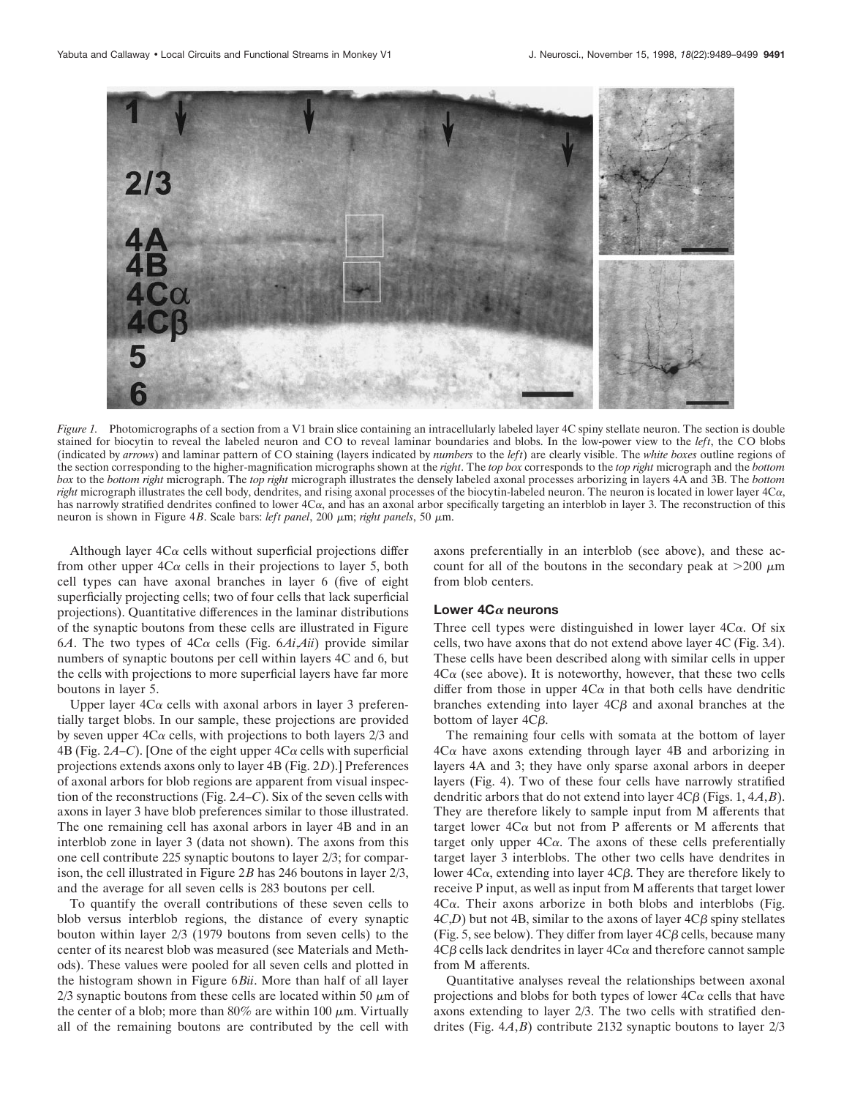

*Figure 1.* Photomicrographs of a section from a V1 brain slice containing an intracellularly labeled layer 4C spiny stellate neuron. The section is double stained for biocytin to reveal the labeled neuron and CO to reveal laminar boundaries and blobs. In the low-power view to the *left*, the CO blobs (indicated by *arrows*) and laminar pattern of CO staining (layers indicated by *numbers* to the *left*) are clearly visible. The *white boxes* outline regions of the section corresponding to the higher-magnification micrographs shown at the *right*. The *top box* corresponds to the *top right* micrograph and the *bottom box* to the *bottom right* micrograph. The *top right* micrograph illustrates the densely labeled axonal processes arborizing in layers 4A and 3B. The *bottom right* micrograph illustrates the cell body, dendrites, and rising axonal processes of the biocytin-labeled neuron. The neuron is located in lower layer  $4C\alpha$ , has narrowly stratified dendrites confined to lower  $4C\alpha$ , and has an axonal arbor specifically targeting an interblob in layer 3. The reconstruction of this neuron is shown in Figure 4*B*. Scale bars: *left panel*, 200 μm; *right panels*, 50 μm.

Although layer  $4C\alpha$  cells without superficial projections differ from other upper  $4C\alpha$  cells in their projections to layer 5, both cell types can have axonal branches in layer 6 (five of eight superficially projecting cells; two of four cells that lack superficial projections). Quantitative differences in the laminar distributions of the synaptic boutons from these cells are illustrated in Figure 6*A*. The two types of  $4C\alpha$  cells (Fig.  $6Ai$ *,Aii*) provide similar numbers of synaptic boutons per cell within layers 4C and 6, but the cells with projections to more superficial layers have far more boutons in layer 5.

Upper layer  $4C\alpha$  cells with axonal arbors in layer 3 preferentially target blobs. In our sample, these projections are provided by seven upper  $4C\alpha$  cells, with projections to both layers 2/3 and 4B (Fig.  $2A-C$ ). [One of the eight upper  $4C\alpha$  cells with superficial projections extends axons only to layer 4B (Fig. 2*D*).] Preferences of axonal arbors for blob regions are apparent from visual inspection of the reconstructions (Fig. 2*A–C*). Six of the seven cells with axons in layer 3 have blob preferences similar to those illustrated. The one remaining cell has axonal arbors in layer 4B and in an interblob zone in layer 3 (data not shown). The axons from this one cell contribute 225 synaptic boutons to layer 2/3; for comparison, the cell illustrated in Figure 2*B* has 246 boutons in layer 2/3, and the average for all seven cells is 283 boutons per cell.

To quantify the overall contributions of these seven cells to blob versus interblob regions, the distance of every synaptic bouton within layer 2/3 (1979 boutons from seven cells) to the center of its nearest blob was measured (see Materials and Methods). These values were pooled for all seven cells and plotted in the histogram shown in Figure 6*Bii*. More than half of all layer 2/3 synaptic boutons from these cells are located within 50  $\mu$ m of the center of a blob; more than 80% are within 100  $\mu$ m. Virtually all of the remaining boutons are contributed by the cell with axons preferentially in an interblob (see above), and these account for all of the boutons in the secondary peak at  $>200 \mu m$ from blob centers.

#### **Lower 4C**<sup>a</sup> **neurons**

Three cell types were distinguished in lower layer  $4C\alpha$ . Of six cells, two have axons that do not extend above layer 4C (Fig. 3*A*). These cells have been described along with similar cells in upper  $4C\alpha$  (see above). It is noteworthy, however, that these two cells differ from those in upper  $4C\alpha$  in that both cells have dendritic branches extending into layer  $4C\beta$  and axonal branches at the bottom of layer  $4C\beta$ .

The remaining four cells with somata at the bottom of layer  $4C\alpha$  have axons extending through layer 4B and arborizing in layers 4A and 3; they have only sparse axonal arbors in deeper layers (Fig. 4). Two of these four cells have narrowly stratified dendritic arbors that do not extend into layer  $4C\beta$  (Figs. 1,  $4A$ , *B*). They are therefore likely to sample input from M afferents that target lower  $4C\alpha$  but not from P afferents or M afferents that target only upper  $4C\alpha$ . The axons of these cells preferentially target layer 3 interblobs. The other two cells have dendrites in lower  $4C\alpha$ , extending into layer  $4C\beta$ . They are therefore likely to receive P input, as well as input from M afferents that target lower  $4C\alpha$ . Their axons arborize in both blobs and interblobs (Fig.  $4C,D$ ) but not 4B, similar to the axons of layer  $4C\beta$  spiny stellates (Fig. 5, see below). They differ from layer  $4C\beta$  cells, because many  $4C\beta$  cells lack dendrites in layer  $4C\alpha$  and therefore cannot sample from M afferents.

Quantitative analyses reveal the relationships between axonal projections and blobs for both types of lower  $4C\alpha$  cells that have axons extending to layer 2/3. The two cells with stratified dendrites (Fig. 4*A*,*B*) contribute 2132 synaptic boutons to layer 2/3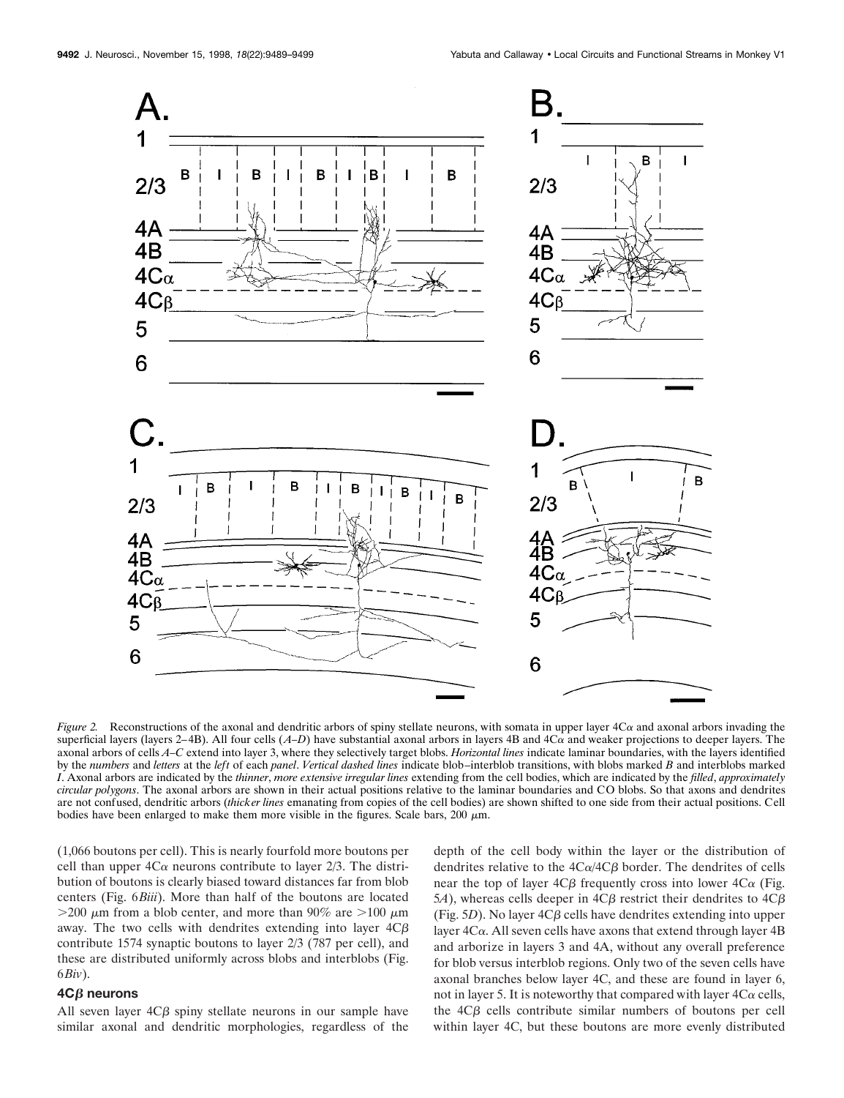

*Figure 2.* Reconstructions of the axonal and dendritic arbors of spiny stellate neurons, with somata in upper layer  $4C\alpha$  and axonal arbors invading the superficial layers (layers 2–4B). All four cells  $(A-D)$  have substantial axonal arbors in layers 4B and 4C $\alpha$  and weaker projections to deeper layers. The axonal arbors of cells *A–C* extend into layer 3, where they selectively target blobs. *Horizontal lines* indicate laminar boundaries, with the layers identified by the *numbers* and *letters* at the *left* of each *panel*. *Vertical dashed lines* indicate blob–interblob transitions, with blobs marked *B* and interblobs marked *I*. Axonal arbors are indicated by the *thinner*, *more extensive irregular lines* extending from the cell bodies, which are indicated by the *filled*, *approximately circular polygons*. The axonal arbors are shown in their actual positions relative to the laminar boundaries and CO blobs. So that axons and dendrites are not confused, dendritic arbors (*thicker lines* emanating from copies of the cell bodies) are shown shifted to one side from their actual positions. Cell bodies have been enlarged to make them more visible in the figures. Scale bars, 200  $\mu$ m.

(1,066 boutons per cell). This is nearly fourfold more boutons per cell than upper  $4C\alpha$  neurons contribute to layer 2/3. The distribution of boutons is clearly biased toward distances far from blob centers (Fig. 6*Biii*). More than half of the boutons are located  $>$ 200  $\mu$ m from a blob center, and more than 90% are  $>$ 100  $\mu$ m away. The two cells with dendrites extending into layer  $4C\beta$ contribute 1574 synaptic boutons to layer 2/3 (787 per cell), and these are distributed uniformly across blobs and interblobs (Fig. 6*Biv*).

## **4C**b **neurons**

All seven layer  $4C\beta$  spiny stellate neurons in our sample have similar axonal and dendritic morphologies, regardless of the depth of the cell body within the layer or the distribution of dendrites relative to the  $4C\alpha/4C\beta$  border. The dendrites of cells near the top of layer  $4C\beta$  frequently cross into lower  $4C\alpha$  (Fig. 5*A*), whereas cells deeper in  $4C\beta$  restrict their dendrites to  $4C\beta$ (Fig.  $5D$ ). No layer  $4C\beta$  cells have dendrites extending into upper layer  $4C\alpha$ . All seven cells have axons that extend through layer  $4B$ and arborize in layers 3 and 4A, without any overall preference for blob versus interblob regions. Only two of the seven cells have axonal branches below layer 4C, and these are found in layer 6, not in layer 5. It is noteworthy that compared with layer  $4C\alpha$  cells, the  $4C\beta$  cells contribute similar numbers of boutons per cell within layer 4C, but these boutons are more evenly distributed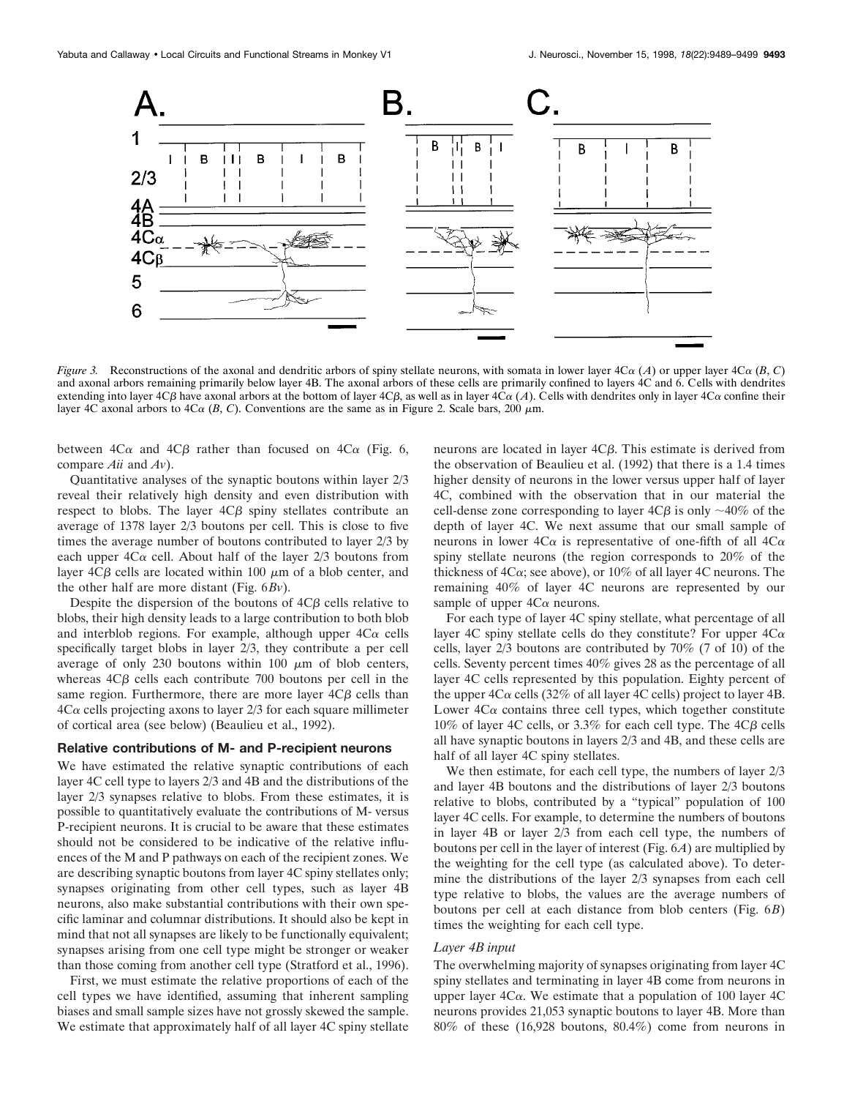

*Figure 3.* Reconstructions of the axonal and dendritic arbors of spiny stellate neurons, with somata in lower layer  $4C\alpha$  (*A*) or upper layer  $4C\alpha$  (*B*, *C*) and axonal arbors remaining primarily below layer 4B. The axonal arbors of these cells are primarily confined to layers 4C and 6. Cells with dendrites extending into layer 4C $\beta$  have axonal arbors at the bottom of layer 4C $\beta$ , as well as in layer 4C $\alpha$  (*A*). Cells with dendrites only in layer 4C $\alpha$  confine their layer 4C axonal arbors to  $4C\alpha$  (*B*, *C*). Conventions are the same as in Figure 2. Scale bars, 200  $\mu$ m.

between  $4C\alpha$  and  $4C\beta$  rather than focused on  $4C\alpha$  (Fig. 6, compare *Aii* and *Av*).

Quantitative analyses of the synaptic boutons within layer 2/3 reveal their relatively high density and even distribution with respect to blobs. The layer  $4C\beta$  spiny stellates contribute an average of 1378 layer 2/3 boutons per cell. This is close to five times the average number of boutons contributed to layer 2/3 by each upper  $4C\alpha$  cell. About half of the layer 2/3 boutons from layer  $4C\beta$  cells are located within 100  $\mu$ m of a blob center, and the other half are more distant (Fig. 6*Bv*).

Despite the dispersion of the boutons of  $4C\beta$  cells relative to blobs, their high density leads to a large contribution to both blob and interblob regions. For example, although upper  $4C\alpha$  cells specifically target blobs in layer 2/3, they contribute a per cell average of only 230 boutons within 100  $\mu$ m of blob centers, whereas  $4C\beta$  cells each contribute 700 boutons per cell in the same region. Furthermore, there are more layer  $4C\beta$  cells than  $4C\alpha$  cells projecting axons to layer 2/3 for each square millimeter of cortical area (see below) (Beaulieu et al., 1992).

#### **Relative contributions of M- and P-recipient neurons**

We have estimated the relative synaptic contributions of each layer 4C cell type to layers 2/3 and 4B and the distributions of the layer 2/3 synapses relative to blobs. From these estimates, it is possible to quantitatively evaluate the contributions of M- versus P-recipient neurons. It is crucial to be aware that these estimates should not be considered to be indicative of the relative influences of the M and P pathways on each of the recipient zones. We are describing synaptic boutons from layer 4C spiny stellates only; synapses originating from other cell types, such as layer 4B neurons, also make substantial contributions with their own specific laminar and columnar distributions. It should also be kept in mind that not all synapses are likely to be functionally equivalent; synapses arising from one cell type might be stronger or weaker than those coming from another cell type (Stratford et al., 1996).

First, we must estimate the relative proportions of each of the cell types we have identified, assuming that inherent sampling biases and small sample sizes have not grossly skewed the sample. We estimate that approximately half of all layer 4C spiny stellate

neurons are located in layer  $4C\beta$ . This estimate is derived from the observation of Beaulieu et al. (1992) that there is a 1.4 times higher density of neurons in the lower versus upper half of layer 4C, combined with the observation that in our material the cell-dense zone corresponding to layer  $4C\beta$  is only  $\sim$  40% of the depth of layer 4C. We next assume that our small sample of neurons in lower  $4C\alpha$  is representative of one-fifth of all  $4C\alpha$ spiny stellate neurons (the region corresponds to 20% of the thickness of  $4C\alpha$ ; see above), or 10% of all layer 4C neurons. The remaining 40% of layer 4C neurons are represented by our sample of upper  $4C\alpha$  neurons.

For each type of layer 4C spiny stellate, what percentage of all layer 4C spiny stellate cells do they constitute? For upper  $4C\alpha$ cells, layer 2/3 boutons are contributed by 70% (7 of 10) of the cells. Seventy percent times 40% gives 28 as the percentage of all layer 4C cells represented by this population. Eighty percent of the upper  $4C\alpha$  cells (32% of all layer  $4C$  cells) project to layer  $4B$ . Lower  $4C\alpha$  contains three cell types, which together constitute 10% of layer 4C cells, or 3.3% for each cell type. The  $4C\beta$  cells all have synaptic boutons in layers 2/3 and 4B, and these cells are half of all layer 4C spiny stellates.

We then estimate, for each cell type, the numbers of layer 2/3 and layer 4B boutons and the distributions of layer 2/3 boutons relative to blobs, contributed by a "typical" population of 100 layer 4C cells. For example, to determine the numbers of boutons in layer 4B or layer 2/3 from each cell type, the numbers of boutons per cell in the layer of interest (Fig. 6*A*) are multiplied by the weighting for the cell type (as calculated above). To determine the distributions of the layer 2/3 synapses from each cell type relative to blobs, the values are the average numbers of boutons per cell at each distance from blob centers (Fig. 6*B*) times the weighting for each cell type.

#### *Layer 4B input*

The overwhelming majority of synapses originating from layer 4C spiny stellates and terminating in layer 4B come from neurons in upper layer  $4C\alpha$ . We estimate that a population of 100 layer  $4C$ neurons provides 21,053 synaptic boutons to layer 4B. More than 80% of these (16,928 boutons, 80.4%) come from neurons in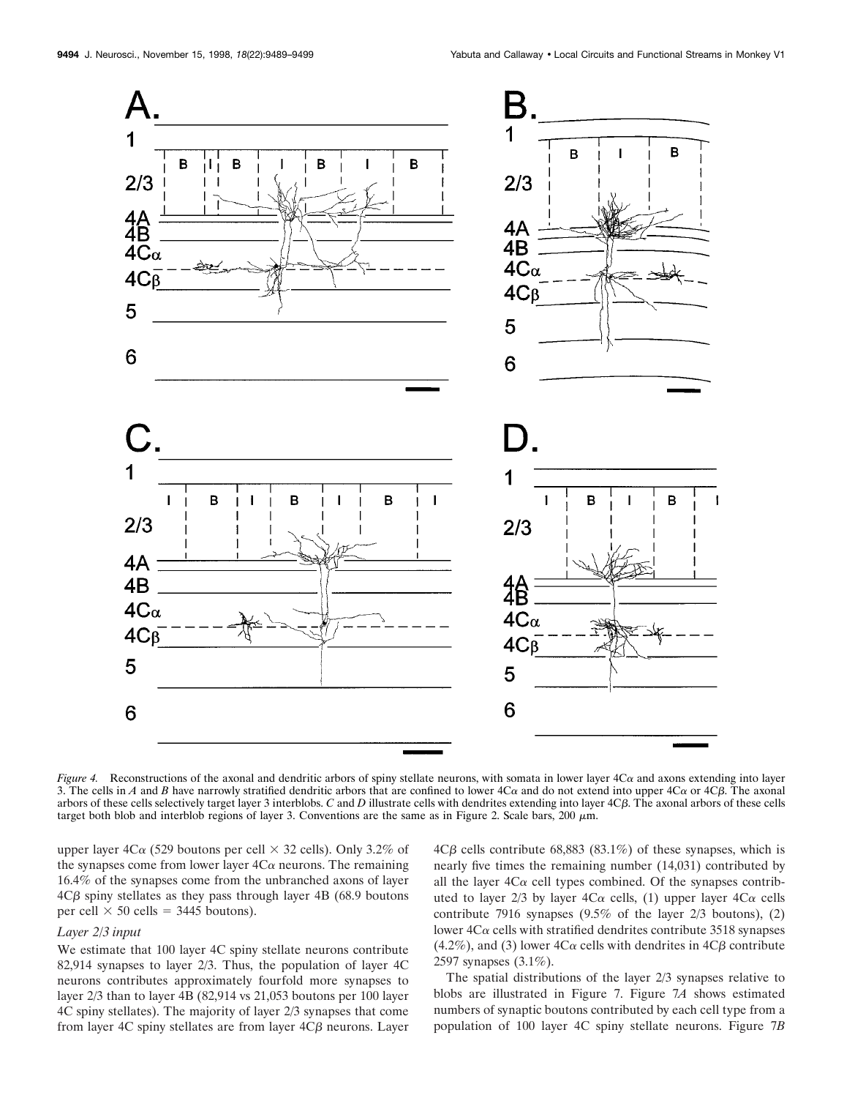

*Figure 4.* Reconstructions of the axonal and dendritic arbors of spiny stellate neurons, with somata in lower layer  $4C\alpha$  and axons extending into layer 3. The cells in *A* and *B* have narrowly stratified dendritic arbors that are confined to lower  $4C\alpha$  and do not extend into upper  $4C\alpha$  or  $4C\beta$ . The axonal arbors of these cells selectively target layer 3 interblobs. *C* and *D* illustrate cells with dendrites extending into layer 4C $\beta$ . The axonal arbors of these cells target both blob and interblob regions of layer 3. Conventions are the same as in Figure 2. Scale bars,  $200 \mu m$ .

upper layer 4C $\alpha$  (529 boutons per cell  $\times$  32 cells). Only 3.2% of the synapses come from lower layer  $4C\alpha$  neurons. The remaining 16.4% of the synapses come from the unbranched axons of layer  $4C\beta$  spiny stellates as they pass through layer 4B (68.9 boutons per cell  $\times$  50 cells = 3445 boutons).

#### *Layer 2/3 input*

We estimate that 100 layer 4C spiny stellate neurons contribute 82,914 synapses to layer 2/3. Thus, the population of layer 4C neurons contributes approximately fourfold more synapses to layer 2/3 than to layer 4B (82,914 vs 21,053 boutons per 100 layer 4C spiny stellates). The majority of layer 2/3 synapses that come from layer 4C spiny stellates are from layer  $4C\beta$  neurons. Layer

 $4C\beta$  cells contribute 68,883 (83.1%) of these synapses, which is nearly five times the remaining number (14,031) contributed by all the layer  $4C\alpha$  cell types combined. Of the synapses contributed to layer  $2/3$  by layer  $4C\alpha$  cells, (1) upper layer  $4C\alpha$  cells contribute 7916 synapses (9.5% of the layer 2/3 boutons), (2) lower  $4C\alpha$  cells with stratified dendrites contribute 3518 synapses (4.2%), and (3) lower  $4C\alpha$  cells with dendrites in  $4C\beta$  contribute 2597 synapses (3.1%).

The spatial distributions of the layer 2/3 synapses relative to blobs are illustrated in Figure 7. Figure 7*A* shows estimated numbers of synaptic boutons contributed by each cell type from a population of 100 layer 4C spiny stellate neurons. Figure 7*B*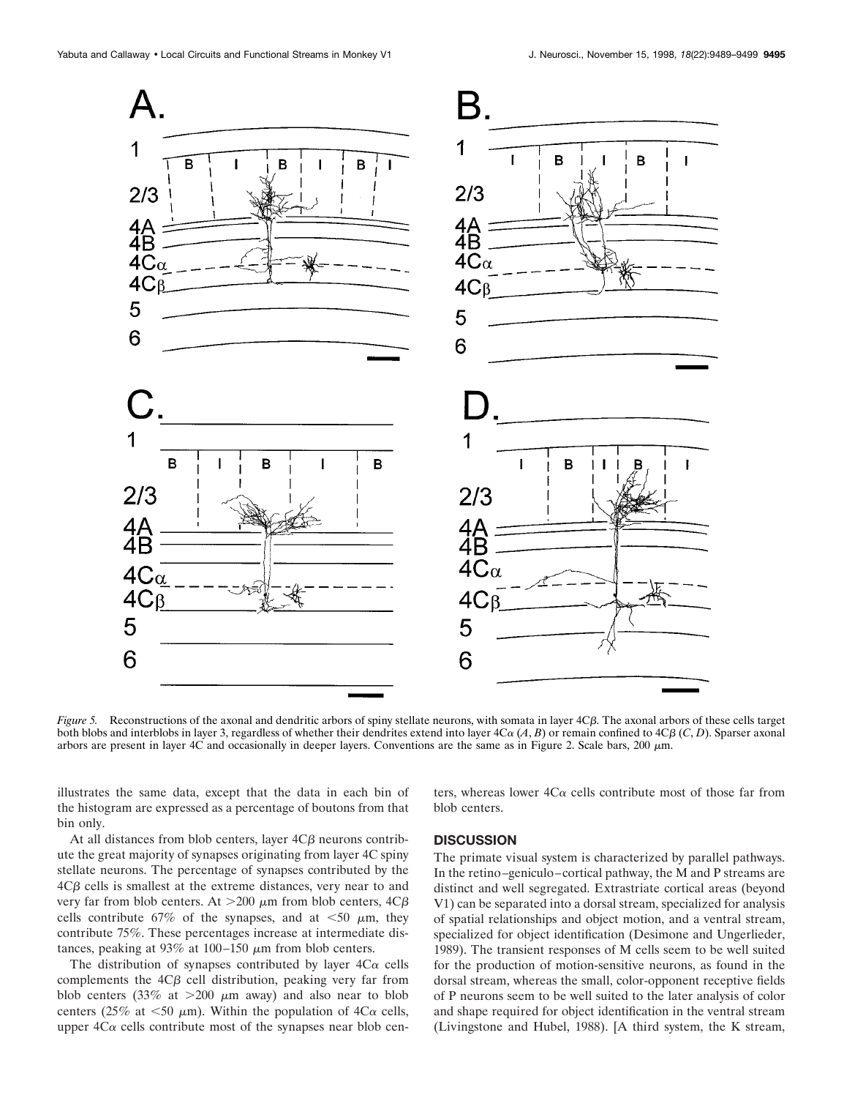

*Figure 5.* Reconstructions of the axonal and dendritic arbors of spiny stellate neurons, with somata in layer 4C $\beta$ . The axonal arbors of these cells target both blobs and interblobs in layer 3, regardless of whether their dendrites extend into layer  $4C\alpha$  (*A*, *B*) or remain confined to  $4C\beta$  (*C*, *D*). Sparser axonal arbors are present in layer 4C and occasionally in deeper layers. Conventions are the same as in Figure 2. Scale bars,  $200 \mu m$ .

illustrates the same data, except that the data in each bin of the histogram are expressed as a percentage of boutons from that bin only.

At all distances from blob centers, layer  $4C\beta$  neurons contribute the great majority of synapses originating from layer 4C spiny stellate neurons. The percentage of synapses contributed by the  $4C\beta$  cells is smallest at the extreme distances, very near to and very far from blob centers. At  $>200 \mu m$  from blob centers,  $4C\beta$ cells contribute 67% of the synapses, and at  $\lt 50 \mu m$ , they contribute 75%. These percentages increase at intermediate distances, peaking at 93% at 100–150  $\mu$ m from blob centers.

The distribution of synapses contributed by layer  $4C\alpha$  cells complements the  $4C\beta$  cell distribution, peaking very far from blob centers (33% at  $>200 \mu m$  away) and also near to blob centers (25% at  $\lt 50 \mu m$ ). Within the population of  $4C\alpha$  cells, upper  $4C\alpha$  cells contribute most of the synapses near blob centers, whereas lower  $4C\alpha$  cells contribute most of those far from blob centers.

## **DISCUSSION**

The primate visual system is characterized by parallel pathways. In the retino–geniculo–cortical pathway, the M and P streams are distinct and well segregated. Extrastriate cortical areas (beyond V1) can be separated into a dorsal stream, specialized for analysis of spatial relationships and object motion, and a ventral stream, specialized for object identification (Desimone and Ungerlieder, 1989). The transient responses of M cells seem to be well suited for the production of motion-sensitive neurons, as found in the dorsal stream, whereas the small, color-opponent receptive fields of P neurons seem to be well suited to the later analysis of color and shape required for object identification in the ventral stream (Livingstone and Hubel, 1988). [A third system, the K stream,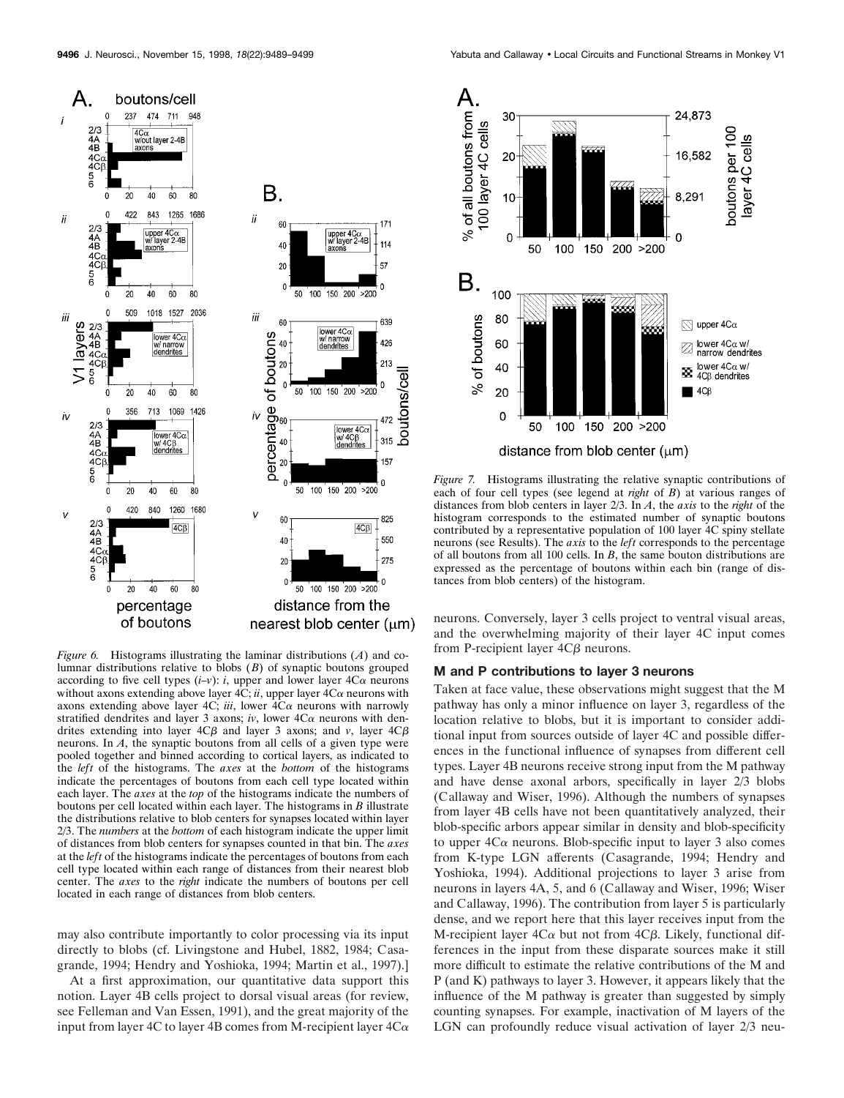

lumnar distributions relative to blobs (*B*) of synaptic boutons grouped according to five cell types  $(i-v)$ : *i*, upper and lower layer  $4C\alpha$  neurons without axons extending above layer  $4C$ ; *ii*, upper layer  $4C\alpha$  neurons with axons extending above layer  $4C$ ; *iii*, lower  $4C\alpha$  neurons with narrowly stratified dendrites and layer 3 axons;  $iv$ , lower  $4C\alpha$  neurons with dendrites extending into layer  $4C\beta$  and layer 3 axons; and *v*, layer  $4C\beta$ neurons. In *A*, the synaptic boutons from all cells of a given type were pooled together and binned according to cortical layers, as indicated to the *left* of the histograms. The *axes* at the *bottom* of the histograms indicate the percentages of boutons from each cell type located within each layer. The *axes* at the *top* of the histograms indicate the numbers of boutons per cell located within each layer. The histograms in *B* illustrate the distributions relative to blob centers for synapses located within layer 2/3. The *numbers* at the *bottom* of each histogram indicate the upper limit of distances from blob centers for synapses counted in that bin. The *axes* at the *left* of the histograms indicate the percentages of boutons from each cell type located within each range of distances from their nearest blob center. The *axes* to the *right* indicate the numbers of boutons per cell located in each range of distances from blob centers.

may also contribute importantly to color processing via its input directly to blobs (cf. Livingstone and Hubel, 1882, 1984; Casagrande, 1994; Hendry and Yoshioka, 1994; Martin et al., 1997).]

At a first approximation, our quantitative data support this notion. Layer 4B cells project to dorsal visual areas (for review, see Felleman and Van Essen, 1991), and the great majority of the input from layer 4C to layer 4B comes from M-recipient layer  $4C\alpha$ 



*Figure 7.* Histograms illustrating the relative synaptic contributions of each of four cell types (see legend at *right* of *B*) at various ranges of distances from blob centers in layer 2/3. In *A*, the *axis* to the *right* of the histogram corresponds to the estimated number of synaptic boutons contributed by a representative population of 100 layer 4C spiny stellate neurons (see Results). The *axis* to the *left* corresponds to the percentage of all boutons from all 100 cells. In *B*, the same bouton distributions are expressed as the percentage of boutons within each bin (range of distances from blob centers) of the histogram.

neurons. Conversely, layer 3 cells project to ventral visual areas, and the overwhelming majority of their layer 4C input comes from P-recipient layer  $4C\beta$  neurons.

## **M and P contributions to layer 3 neurons**

Taken at face value, these observations might suggest that the M pathway has only a minor influence on layer 3, regardless of the location relative to blobs, but it is important to consider additional input from sources outside of layer 4C and possible differences in the functional influence of synapses from different cell types. Layer 4B neurons receive strong input from the M pathway and have dense axonal arbors, specifically in layer 2/3 blobs (Callaway and Wiser, 1996). Although the numbers of synapses from layer 4B cells have not been quantitatively analyzed, their blob-specific arbors appear similar in density and blob-specificity to upper  $4C\alpha$  neurons. Blob-specific input to layer 3 also comes from K-type LGN afferents (Casagrande, 1994; Hendry and Yoshioka, 1994). Additional projections to layer 3 arise from neurons in layers 4A, 5, and 6 (Callaway and Wiser, 1996; Wiser and Callaway, 1996). The contribution from layer 5 is particularly dense, and we report here that this layer receives input from the M-recipient layer  $4C\alpha$  but not from  $4C\beta$ . Likely, functional differences in the input from these disparate sources make it still more difficult to estimate the relative contributions of the M and P (and K) pathways to layer 3. However, it appears likely that the influence of the M pathway is greater than suggested by simply counting synapses. For example, inactivation of M layers of the LGN can profoundly reduce visual activation of layer 2/3 neu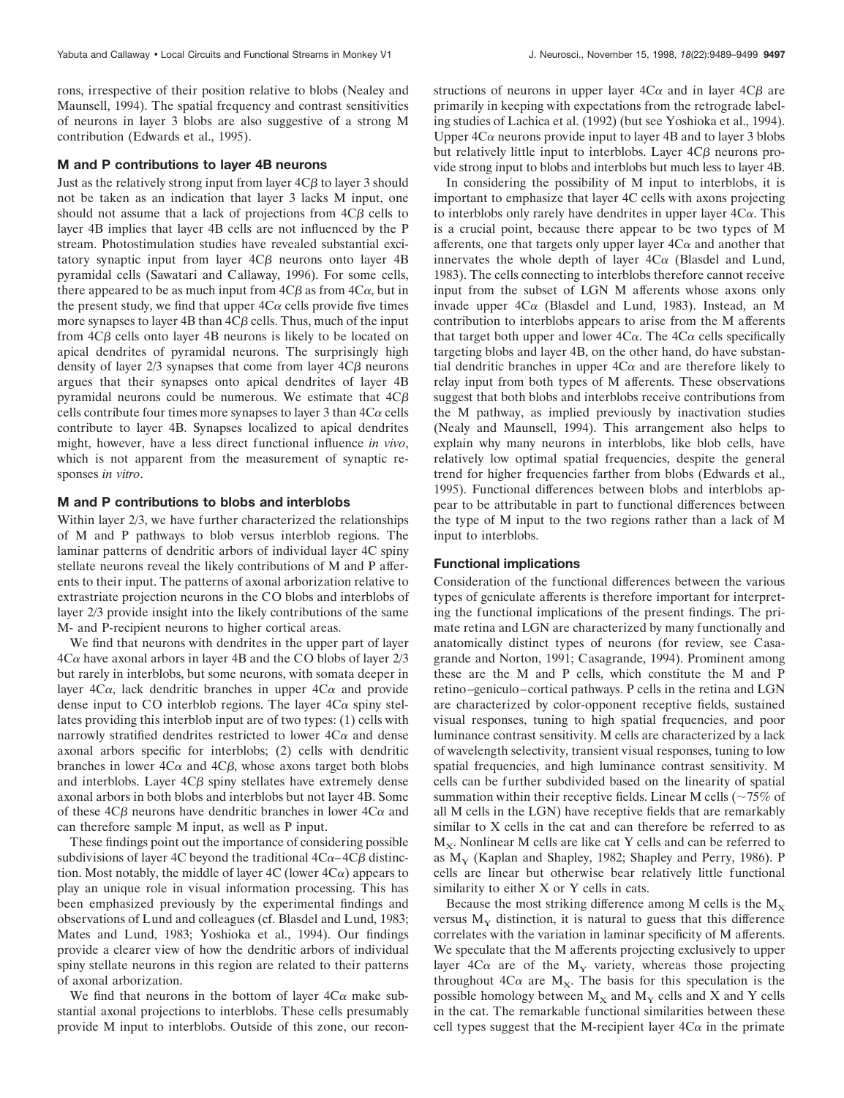rons, irrespective of their position relative to blobs (Nealey and Maunsell, 1994). The spatial frequency and contrast sensitivities of neurons in layer 3 blobs are also suggestive of a strong M contribution (Edwards et al., 1995).

#### **M and P contributions to layer 4B neurons**

Just as the relatively strong input from layer  $4C\beta$  to layer 3 should not be taken as an indication that layer 3 lacks M input, one should not assume that a lack of projections from  $4C\beta$  cells to layer 4B implies that layer 4B cells are not influenced by the P stream. Photostimulation studies have revealed substantial excitatory synaptic input from layer  $4C\beta$  neurons onto layer  $4B$ pyramidal cells (Sawatari and Callaway, 1996). For some cells, there appeared to be as much input from  $4C\beta$  as from  $4C\alpha$ , but in the present study, we find that upper  $4C\alpha$  cells provide five times more synapses to layer 4B than  $4C\beta$  cells. Thus, much of the input from  $4C\beta$  cells onto layer  $4B$  neurons is likely to be located on apical dendrites of pyramidal neurons. The surprisingly high density of layer  $2/3$  synapses that come from layer  $4C\beta$  neurons argues that their synapses onto apical dendrites of layer 4B pyramidal neurons could be numerous. We estimate that  $4C\beta$ cells contribute four times more synapses to layer 3 than  $4C\alpha$  cells contribute to layer 4B. Synapses localized to apical dendrites might, however, have a less direct functional influence *in vivo*, which is not apparent from the measurement of synaptic responses *in vitro*.

# **M and P contributions to blobs and interblobs**

Within layer 2/3, we have further characterized the relationships of M and P pathways to blob versus interblob regions. The laminar patterns of dendritic arbors of individual layer 4C spiny stellate neurons reveal the likely contributions of M and P afferents to their input. The patterns of axonal arborization relative to extrastriate projection neurons in the CO blobs and interblobs of layer 2/3 provide insight into the likely contributions of the same M- and P-recipient neurons to higher cortical areas.

We find that neurons with dendrites in the upper part of layer  $4C\alpha$  have axonal arbors in layer 4B and the CO blobs of layer 2/3 but rarely in interblobs, but some neurons, with somata deeper in layer  $4C\alpha$ , lack dendritic branches in upper  $4C\alpha$  and provide dense input to CO interblob regions. The layer  $4C\alpha$  spiny stellates providing this interblob input are of two types: (1) cells with narrowly stratified dendrites restricted to lower  $4C\alpha$  and dense axonal arbors specific for interblobs; (2) cells with dendritic branches in lower  $4C\alpha$  and  $4C\beta$ , whose axons target both blobs and interblobs. Layer  $4C\beta$  spiny stellates have extremely dense axonal arbors in both blobs and interblobs but not layer 4B. Some of these  $4C\beta$  neurons have dendritic branches in lower  $4C\alpha$  and can therefore sample M input, as well as P input.

These findings point out the importance of considering possible subdivisions of layer 4C beyond the traditional  $4C\alpha - 4C\beta$  distinction. Most notably, the middle of layer 4C (lower  $4C\alpha$ ) appears to play an unique role in visual information processing. This has been emphasized previously by the experimental findings and observations of Lund and colleagues (cf. Blasdel and Lund, 1983; Mates and Lund, 1983; Yoshioka et al., 1994). Our findings provide a clearer view of how the dendritic arbors of individual spiny stellate neurons in this region are related to their patterns of axonal arborization.

We find that neurons in the bottom of layer  $4C\alpha$  make substantial axonal projections to interblobs. These cells presumably provide M input to interblobs. Outside of this zone, our reconstructions of neurons in upper layer  $4C\alpha$  and in layer  $4C\beta$  are primarily in keeping with expectations from the retrograde labeling studies of Lachica et al. (1992) (but see Yoshioka et al., 1994). Upper  $4C\alpha$  neurons provide input to layer 4B and to layer 3 blobs but relatively little input to interblobs. Layer  $4C\beta$  neurons provide strong input to blobs and interblobs but much less to layer 4B.

In considering the possibility of M input to interblobs, it is important to emphasize that layer 4C cells with axons projecting to interblobs only rarely have dendrites in upper layer  $4C\alpha$ . This is a crucial point, because there appear to be two types of M afferents, one that targets only upper layer  $4C\alpha$  and another that innervates the whole depth of layer  $4C\alpha$  (Blasdel and Lund, 1983). The cells connecting to interblobs therefore cannot receive input from the subset of LGN M afferents whose axons only invade upper  $4C\alpha$  (Blasdel and Lund, 1983). Instead, an M contribution to interblobs appears to arise from the M afferents that target both upper and lower  $4C\alpha$ . The  $4C\alpha$  cells specifically targeting blobs and layer 4B, on the other hand, do have substantial dendritic branches in upper  $4C\alpha$  and are therefore likely to relay input from both types of M afferents. These observations suggest that both blobs and interblobs receive contributions from the M pathway, as implied previously by inactivation studies (Nealy and Maunsell, 1994). This arrangement also helps to explain why many neurons in interblobs, like blob cells, have relatively low optimal spatial frequencies, despite the general trend for higher frequencies farther from blobs (Edwards et al., 1995). Functional differences between blobs and interblobs appear to be attributable in part to functional differences between the type of M input to the two regions rather than a lack of M input to interblobs.

# **Functional implications**

Consideration of the functional differences between the various types of geniculate afferents is therefore important for interpreting the functional implications of the present findings. The primate retina and LGN are characterized by many functionally and anatomically distinct types of neurons (for review, see Casagrande and Norton, 1991; Casagrande, 1994). Prominent among these are the M and P cells, which constitute the M and P retino–geniculo–cortical pathways. P cells in the retina and LGN are characterized by color-opponent receptive fields, sustained visual responses, tuning to high spatial frequencies, and poor luminance contrast sensitivity. M cells are characterized by a lack of wavelength selectivity, transient visual responses, tuning to low spatial frequencies, and high luminance contrast sensitivity. M cells can be further subdivided based on the linearity of spatial summation within their receptive fields. Linear M cells ( $\sim$ 75% of all M cells in the LGN) have receptive fields that are remarkably similar to X cells in the cat and can therefore be referred to as  $M<sub>x</sub>$ . Nonlinear M cells are like cat Y cells and can be referred to as  $M_Y$  (Kaplan and Shapley, 1982; Shapley and Perry, 1986). P cells are linear but otherwise bear relatively little functional similarity to either X or Y cells in cats.

Because the most striking difference among M cells is the  $M_X$ versus  $M_Y$  distinction, it is natural to guess that this difference correlates with the variation in laminar specificity of M afferents. We speculate that the M afferents projecting exclusively to upper layer  $4C\alpha$  are of the M<sub>Y</sub> variety, whereas those projecting throughout  $4C\alpha$  are  $M_x$ . The basis for this speculation is the possible homology between  $M_X$  and  $M_Y$  cells and X and Y cells in the cat. The remarkable functional similarities between these cell types suggest that the M-recipient layer  $4C\alpha$  in the primate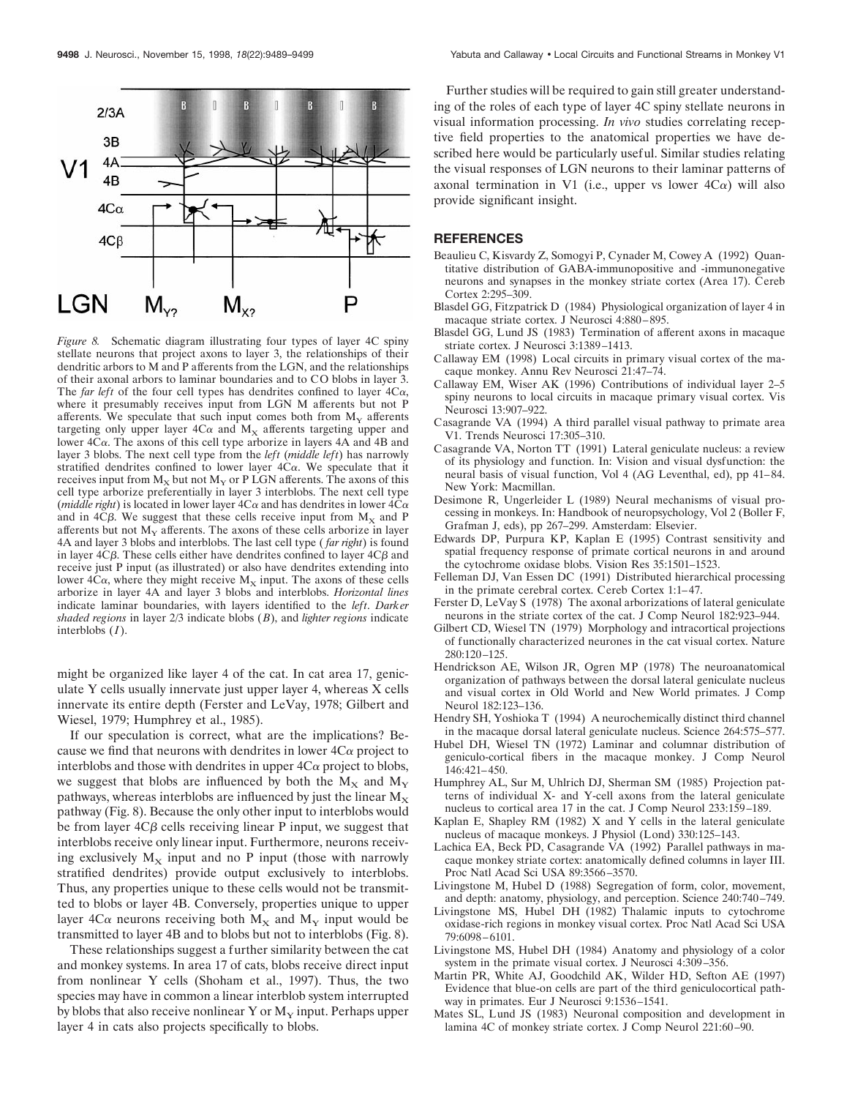

*Figure 8.* Schematic diagram illustrating four types of layer 4C spiny stellate neurons that project axons to layer 3, the relationships of their dendritic arbors to M and P afferents from the LGN, and the relationships of their axonal arbors to laminar boundaries and to CO blobs in layer 3. The *far left* of the four cell types has dendrites confined to layer  $4C\alpha$ , where it presumably receives input from LGN M afferents but not P afferents. We speculate that such input comes both from  $M_{\rm Y}$  afferents targeting only upper layer  $4C\alpha$  and  $M_x$  afferents targeting upper and lower  $4C\alpha$ . The axons of this cell type arborize in layers  $4A$  and  $4B$  and layer 3 blobs. The next cell type from the *left* (*middle left*) has narrowly stratified dendrites confined to lower layer  $4C\alpha$ . We speculate that it receives input from  $M_X$  but not  $M_Y$  or P LGN afferents. The axons of this cell type arborize preferentially in layer 3 interblobs. The next cell type (*middle right*) is located in lower layer  $4C\alpha$  and has dendrites in lower  $4\tilde{C}\alpha$ and in  $4\overline{C}\beta$ . We suggest that these cells receive input from  $M_X$  and P afferents but not  $M_{\rm Y}$  afferents. The axons of these cells arborize in layer 4A and layer 3 blobs and interblobs. The last cell type ( *far right*) is found in layer  $4C\beta$ . These cells either have dendrites confined to layer  $4C\beta$  and receive just P input (as illustrated) or also have dendrites extending into lower  $4C\alpha$ , where they might receive  $M_x$  input. The axons of these cells arborize in layer 4A and layer 3 blobs and interblobs. *Horizontal lines* indicate laminar boundaries, with layers identified to the *left*. *Darker shaded regions* in layer 2/3 indicate blobs (*B*), and *lighter regions* indicate interblobs (*I*).

might be organized like layer 4 of the cat. In cat area 17, geniculate Y cells usually innervate just upper layer 4, whereas X cells innervate its entire depth (Ferster and LeVay, 1978; Gilbert and Wiesel, 1979; Humphrey et al., 1985).

If our speculation is correct, what are the implications? Because we find that neurons with dendrites in lower  $4C\alpha$  project to interblobs and those with dendrites in upper  $4C\alpha$  project to blobs, we suggest that blobs are influenced by both the  $M_X$  and  $M_Y$ pathways, whereas interblobs are influenced by just the linear  $M_{\rm x}$ pathway (Fig. 8). Because the only other input to interblobs would be from layer  $4C\beta$  cells receiving linear P input, we suggest that interblobs receive only linear input. Furthermore, neurons receiving exclusively  $M_x$  input and no P input (those with narrowly stratified dendrites) provide output exclusively to interblobs. Thus, any properties unique to these cells would not be transmitted to blobs or layer 4B. Conversely, properties unique to upper layer  $4C\alpha$  neurons receiving both  $M_X$  and  $M_Y$  input would be transmitted to layer 4B and to blobs but not to interblobs (Fig. 8).

These relationships suggest a further similarity between the cat and monkey systems. In area 17 of cats, blobs receive direct input from nonlinear Y cells (Shoham et al., 1997). Thus, the two species may have in common a linear interblob system interrupted by blobs that also receive nonlinear Y or  $M<sub>y</sub>$  input. Perhaps upper layer 4 in cats also projects specifically to blobs.

Further studies will be required to gain still greater understanding of the roles of each type of layer 4C spiny stellate neurons in visual information processing. *In vivo* studies correlating receptive field properties to the anatomical properties we have described here would be particularly useful. Similar studies relating the visual responses of LGN neurons to their laminar patterns of axonal termination in V1 (i.e., upper vs lower  $4C\alpha$ ) will also provide significant insight.

#### **REFERENCES**

- Beaulieu C, Kisvardy Z, Somogyi P, Cynader M, Cowey A (1992) Quantitative distribution of GABA-immunopositive and -immunonegative neurons and synapses in the monkey striate cortex (Area 17). Cereb Cortex 2:295–309.
- Blasdel GG, Fitzpatrick D (1984) Physiological organization of layer 4 in macaque striate cortex. J Neurosci 4:880–895.
- Blasdel GG, Lund JS (1983) Termination of afferent axons in macaque striate cortex. J Neurosci 3:1389–1413.
- Callaway EM (1998) Local circuits in primary visual cortex of the macaque monkey. Annu Rev Neurosci 21:47–74.
- Callaway EM, Wiser AK (1996) Contributions of individual layer 2–5 spiny neurons to local circuits in macaque primary visual cortex. Vis Neurosci 13:907–922.
- Casagrande VA (1994) A third parallel visual pathway to primate area V1. Trends Neurosci 17:305–310.
- Casagrande VA, Norton TT (1991) Lateral geniculate nucleus: a review of its physiology and function. In: Vision and visual dysfunction: the neural basis of visual function, Vol 4 (AG Leventhal, ed), pp 41–84. New York: Macmillan.
- Desimone R, Ungerleider L (1989) Neural mechanisms of visual processing in monkeys. In: Handbook of neuropsychology, Vol 2 (Boller F, Grafman J, eds), pp 267–299. Amsterdam: Elsevier.
- Edwards DP, Purpura KP, Kaplan E (1995) Contrast sensitivity and spatial frequency response of primate cortical neurons in and around the cytochrome oxidase blobs. Vision Res 35:1501–1523.
- Felleman DJ, Van Essen DC (1991) Distributed hierarchical processing in the primate cerebral cortex. Cereb Cortex 1:1–47.
- Ferster D, LeVay S (1978) The axonal arborizations of lateral geniculate neurons in the striate cortex of the cat. J Comp Neurol 182:923–944.
- Gilbert CD, Wiesel TN (1979) Morphology and intracortical projections of functionally characterized neurones in the cat visual cortex. Nature 280:120–125.
- Hendrickson AE, Wilson JR, Ogren MP (1978) The neuroanatomical organization of pathways between the dorsal lateral geniculate nucleus and visual cortex in Old World and New World primates. J Comp Neurol 182:123–136.
- Hendry SH, Yoshioka T (1994) A neurochemically distinct third channel in the macaque dorsal lateral geniculate nucleus. Science 264:575–577.
- Hubel DH, Wiesel TN (1972) Laminar and columnar distribution of geniculo-cortical fibers in the macaque monkey. J Comp Neurol 146:421–450.
- Humphrey AL, Sur M, Uhlrich DJ, Sherman SM (1985) Projection patterns of individual X- and Y-cell axons from the lateral geniculate nucleus to cortical area 17 in the cat. J Comp Neurol 233:159–189.
- Kaplan E, Shapley RM (1982) X and Y cells in the lateral geniculate nucleus of macaque monkeys. J Physiol (Lond) 330:125–143.
- Lachica EA, Beck PD, Casagrande VA (1992) Parallel pathways in macaque monkey striate cortex: anatomically defined columns in layer III. Proc Natl Acad Sci USA 89:3566–3570.
- Livingstone M, Hubel D (1988) Segregation of form, color, movement, and depth: anatomy, physiology, and perception. Science 240:740–749.
- Livingstone MS, Hubel DH (1982) Thalamic inputs to cytochrome oxidase-rich regions in monkey visual cortex. Proc Natl Acad Sci USA 79:6098–6101.
- Livingstone MS, Hubel DH (1984) Anatomy and physiology of a color system in the primate visual cortex. J Neurosci 4:309–356.
- Martin PR, White AJ, Goodchild AK, Wilder HD, Sefton AE (1997) Evidence that blue-on cells are part of the third geniculocortical pathway in primates. Eur J Neurosci 9:1536–1541.
- Mates SL, Lund JS (1983) Neuronal composition and development in lamina 4C of monkey striate cortex. J Comp Neurol 221:60–90.